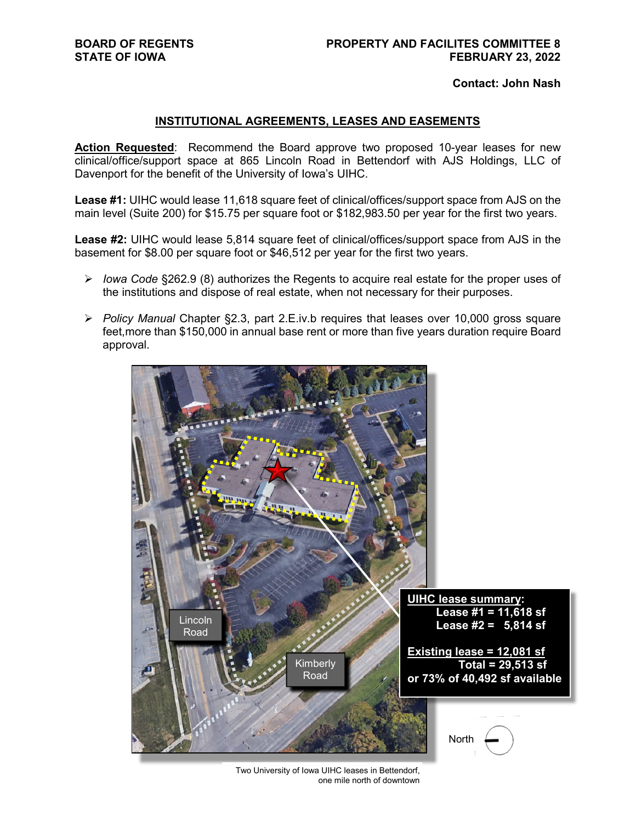**Contact: John Nash**

# **INSTITUTIONAL AGREEMENTS, LEASES AND EASEMENTS**

Action Requested: Recommend the Board approve two proposed 10-year leases for new clinical/office/support space at 865 Lincoln Road in Bettendorf with AJS Holdings, LLC of Davenport for the benefit of the University of Iowa's UIHC.

**Lease #1:** UIHC would lease 11,618 square feet of clinical/offices/support space from AJS on the main level (Suite 200) for \$15.75 per square foot or \$182,983.50 per year for the first two years.

**Lease #2:** UIHC would lease 5,814 square feet of clinical/offices/support space from AJS in the basement for \$8.00 per square foot or \$46,512 per year for the first two years.

- *Iowa Code* §262.9 (8) authorizes the Regents to acquire real estate for the proper uses of the institutions and dispose of real estate, when not necessary for their purposes.
- *Policy Manual* Chapter §2.3, part 2.E.iv.b requires that leases over 10,000 gross square feet,more than \$150,000 in annual base rent or more than five years duration require Board approval.



Two University of Iowa UIHC leases in Bettendorf, one mile north of downtown